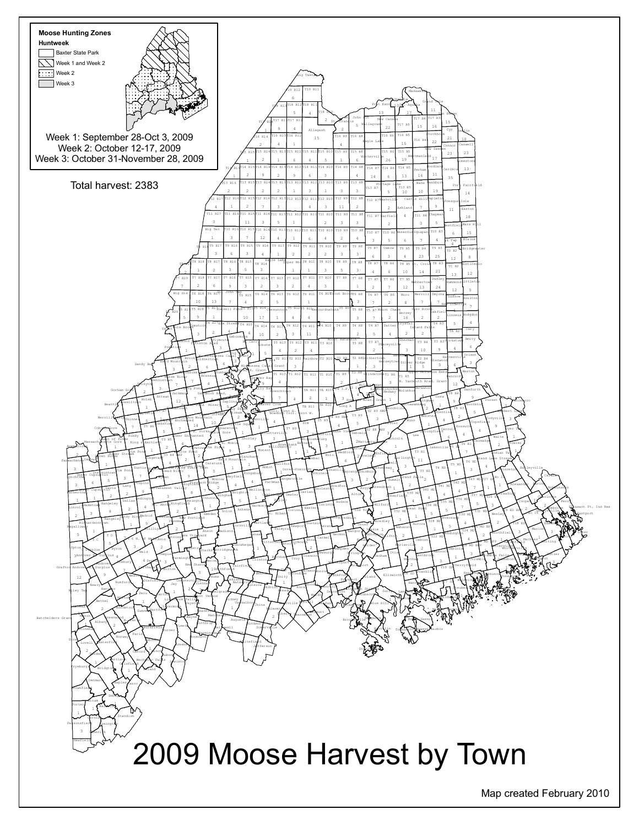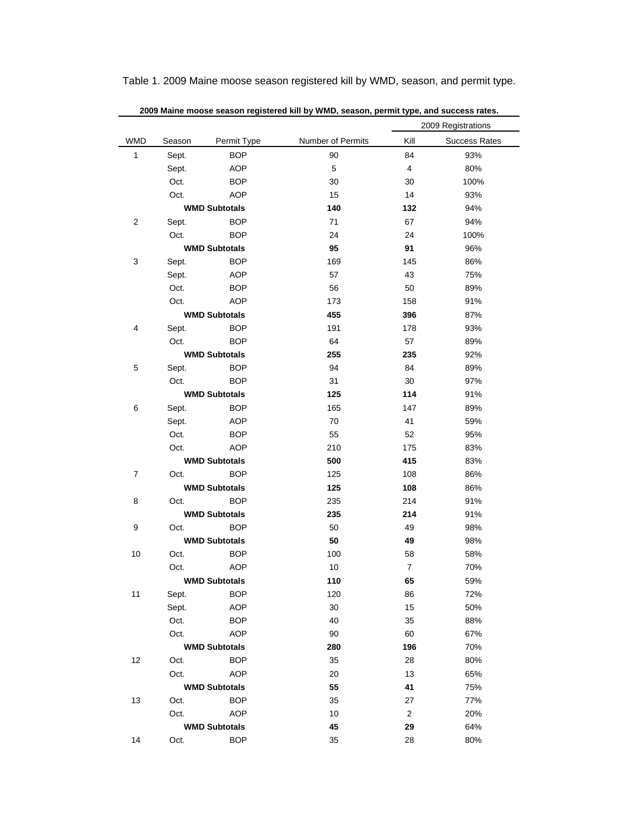| 2009 Maine moose season registered kill by WMD, season, permit type, and success rates. |                      |                          |                   |                      |                      |  |  |  |  |
|-----------------------------------------------------------------------------------------|----------------------|--------------------------|-------------------|----------------------|----------------------|--|--|--|--|
|                                                                                         |                      |                          |                   | 2009 Registrations   |                      |  |  |  |  |
| <b>WMD</b>                                                                              | Season               | Permit Type              | Number of Permits | Kill                 | <b>Success Rates</b> |  |  |  |  |
| 1                                                                                       | Sept.                | <b>BOP</b>               | 90                | 84                   | 93%                  |  |  |  |  |
|                                                                                         | Sept.                | <b>AOP</b>               | 5                 | 4                    | 80%                  |  |  |  |  |
|                                                                                         | Oct.                 | <b>BOP</b>               | 30                | 30                   | 100%                 |  |  |  |  |
|                                                                                         | Oct.                 | <b>AOP</b>               | 15                | 14                   | 93%                  |  |  |  |  |
| <b>WMD Subtotals</b>                                                                    |                      | 140                      | 132               | 94%                  |                      |  |  |  |  |
| 2                                                                                       | Sept.                | <b>BOP</b>               | 71                | 67                   | 94%                  |  |  |  |  |
|                                                                                         | Oct.                 | <b>BOP</b>               | 24                | 24                   | 100%                 |  |  |  |  |
|                                                                                         | <b>WMD Subtotals</b> |                          | 95                | 91                   | 96%                  |  |  |  |  |
| 3                                                                                       | Sept.                | <b>BOP</b>               | 169               | 145                  | 86%                  |  |  |  |  |
|                                                                                         | Sept.                | <b>AOP</b>               | 57                | 43                   | 75%                  |  |  |  |  |
|                                                                                         | Oct.                 | <b>BOP</b>               | 56                | 50                   | 89%                  |  |  |  |  |
|                                                                                         | Oct.                 | <b>AOP</b>               | 173               | 158                  | 91%                  |  |  |  |  |
|                                                                                         | <b>WMD Subtotals</b> |                          | 455               | 396                  | 87%                  |  |  |  |  |
| 4                                                                                       | Sept.                | <b>BOP</b>               | 191               | 178                  | 93%                  |  |  |  |  |
| <b>BOP</b><br>Oct.                                                                      |                      |                          | 64                | 57                   | 89%                  |  |  |  |  |
| <b>WMD Subtotals</b>                                                                    |                      |                          | 255               | 235                  | 92%                  |  |  |  |  |
| 5                                                                                       | Sept.                | <b>BOP</b>               | 94                | 84                   | 89%                  |  |  |  |  |
|                                                                                         | Oct.                 | <b>BOP</b>               | 31                | 30                   | 97%                  |  |  |  |  |
|                                                                                         | <b>WMD Subtotals</b> |                          | 125               | 114                  | 91%                  |  |  |  |  |
| 6                                                                                       | Sept.                | <b>BOP</b>               | 165               | 147                  | 89%                  |  |  |  |  |
|                                                                                         | Sept.                | <b>AOP</b>               | 70                | 41                   | 59%                  |  |  |  |  |
|                                                                                         | Oct.                 | <b>BOP</b>               | 55                | 52                   | 95%                  |  |  |  |  |
|                                                                                         | Oct.                 | <b>AOP</b>               | 210               | 175                  | 83%                  |  |  |  |  |
| <b>WMD Subtotals</b>                                                                    |                      | 500                      | 415               | 83%                  |                      |  |  |  |  |
| 7                                                                                       | Oct.                 | <b>BOP</b>               | 125               | 108                  | 86%                  |  |  |  |  |
|                                                                                         | <b>WMD Subtotals</b> |                          | 125               | 108                  | 86%                  |  |  |  |  |
| 8                                                                                       | Oct.                 | <b>BOP</b>               | 235               | 214                  | 91%                  |  |  |  |  |
|                                                                                         |                      | <b>WMD Subtotals</b>     | 235               | 214                  | 91%                  |  |  |  |  |
| 9                                                                                       | Oct.                 | <b>BOP</b>               | 50                | 49                   | 98%                  |  |  |  |  |
|                                                                                         |                      | <b>WMD Subtotals</b>     | 50                | 49                   | 98%                  |  |  |  |  |
| 10                                                                                      | Oct.                 | <b>BOP</b>               | 100               | 58                   | 58%                  |  |  |  |  |
|                                                                                         | Oct.                 | <b>AOP</b>               | 10                | $\overline{7}$       | 70%                  |  |  |  |  |
|                                                                                         |                      | <b>WMD Subtotals</b>     | 110               | 65                   | 59%                  |  |  |  |  |
| 11                                                                                      | Sept.                | <b>BOP</b>               | 120               | 86                   | 72%                  |  |  |  |  |
|                                                                                         | Sept.                | <b>AOP</b>               | 30                | 15                   | 50%                  |  |  |  |  |
|                                                                                         | Oct.                 | <b>BOP</b>               | 40                | 35                   | 88%                  |  |  |  |  |
| <b>AOP</b><br>Oct.                                                                      |                      | 90                       | 60                | 67%                  |                      |  |  |  |  |
|                                                                                         |                      | <b>WMD Subtotals</b>     | 280               | 196                  | 70%                  |  |  |  |  |
| 12                                                                                      | Oct.                 | <b>BOP</b><br><b>AOP</b> | 35                | 28<br>13             | 80%<br>65%           |  |  |  |  |
|                                                                                         | Oct.                 |                          | 20                |                      |                      |  |  |  |  |
| <b>WMD Subtotals</b>                                                                    |                      | 55                       | 41                | 75%<br>77%           |                      |  |  |  |  |
| 13                                                                                      | Oct.                 | <b>BOP</b>               | 35<br>10          | 27<br>$\overline{c}$ | 20%                  |  |  |  |  |
| Oct.<br><b>AOP</b><br><b>WMD Subtotals</b>                                              |                      |                          | 45                | 29                   | 64%                  |  |  |  |  |
| 14                                                                                      | Oct.                 | <b>BOP</b>               | 35                | 28                   | 80%                  |  |  |  |  |
|                                                                                         |                      |                          |                   |                      |                      |  |  |  |  |

Table 1. 2009 Maine moose season registered kill by WMD, season, and permit type.